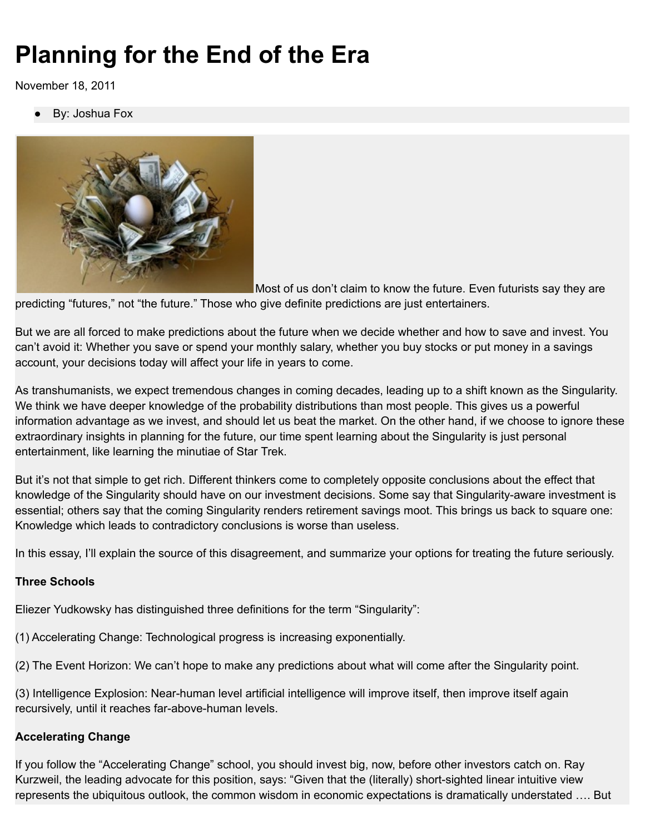# **Planning for the End of the Era**

November 18, 2011

By: Joshua Fox



Most of us don't claim to know the future. Even futurists say they are

predicting "futures," not "the future." Those who give definite predictions are just entertainers.

But we are all forced to make predictions about the future when we decide whether and how to save and invest. You can't avoid it: Whether you save or spend your monthly salary, whether you buy stocks or put money in a savings account, your decisions today will affect your life in years to come.

As transhumanists, we expect tremendous changes in coming decades, leading up to a shift known as the Singularity. We think we have deeper knowledge of the probability distributions than most people. This gives us a powerful information advantage as we invest, and should let us beat the market. On the other hand, if we choose to ignore these extraordinary insights in planning for the future, our time spent learning about the Singularity is just personal entertainment, like learning the minutiae of Star Trek.

But it's not that simple to get rich. Different thinkers come to completely opposite conclusions about the effect that knowledge of the Singularity should have on our investment decisions. Some say that Singularity-aware investment is essential; others say that the coming Singularity renders retirement savings moot. This brings us back to square one: Knowledge which leads to contradictory conclusions is worse than useless.

In this essay, I'll explain the source of this disagreement, and summarize your options for treating the future seriously.

## **Three Schools**

Eliezer Yudkowsky has distinguished three definitions for the term "Singularity":

- (1) Accelerating Change: Technological progress is increasing exponentially.
- (2) The Event Horizon: We can't hope to make any predictions about what will come after the Singularity point.

(3) Intelligence Explosion: Near-human level artificial intelligence will improve itself, then improve itself again recursively, until it reaches far-above-human levels.

## **Accelerating Change**

If you follow the "Accelerating Change" school, you should invest big, now, before other investors catch on. Ray Kurzweil, the leading advocate for this position, says: "Given that the (literally) short-sighted linear intuitive view represents the ubiquitous outlook, the common wisdom in economic expectations is dramatically understated …. But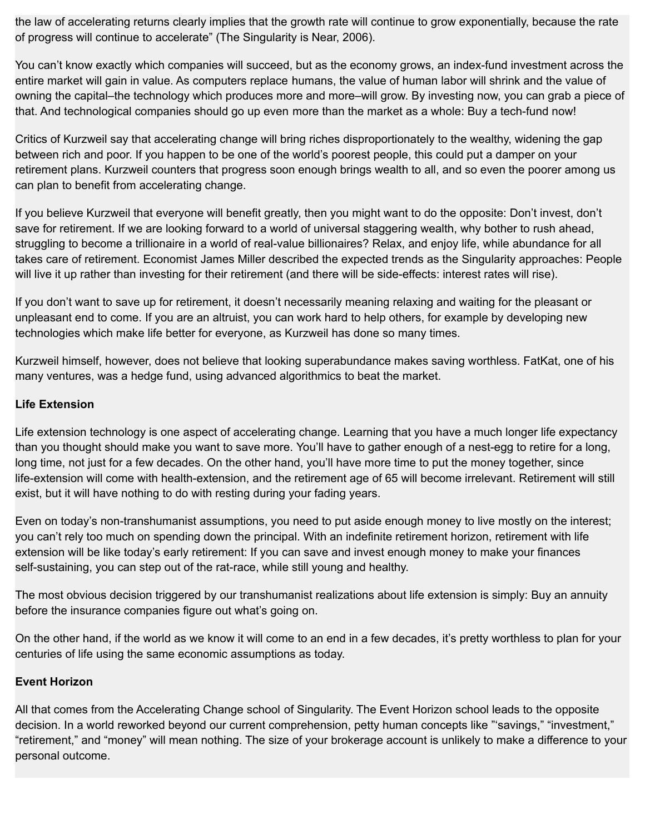the law of accelerating returns clearly implies that the growth rate will continue to grow exponentially, because the rate of progress will continue to accelerate" (The Singularity is Near, 2006).

You can't know exactly which companies will succeed, but as the economy grows, an index-fund investment across the entire market will gain in value. As computers replace humans, the value of human labor will shrink and the value of owning the capital–the technology which produces more and more–will grow. By investing now, you can grab a piece of that. And technological companies should go up even more than the market as a whole: Buy a tech-fund now!

Critics of Kurzweil say that accelerating change will bring riches disproportionately to the wealthy, widening the gap between rich and poor. If you happen to be one of the world's poorest people, this could put a damper on your retirement plans. Kurzweil counters that progress soon enough brings wealth to all, and so even the poorer among us can plan to benefit from accelerating change.

If you believe Kurzweil that everyone will benefit greatly, then you might want to do the opposite: Don't invest, don't save for retirement. If we are looking forward to a world of universal staggering wealth, why bother to rush ahead, struggling to become a trillionaire in a world of real-value billionaires? Relax, and enjoy life, while abundance for all takes care of retirement. Economist James Miller described the expected trends as the Singularity approaches: People will live it up rather than investing for their retirement (and there will be side-effects: interest rates will rise).

If you don't want to save up for retirement, it doesn't necessarily meaning relaxing and waiting for the pleasant or unpleasant end to come. If you are an altruist, you can work hard to help others, for example by developing new technologies which make life better for everyone, as Kurzweil has done so many times.

Kurzweil himself, however, does not believe that looking superabundance makes saving worthless. FatKat, one of his many ventures, was a hedge fund, using advanced algorithmics to beat the market.

#### **Life Extension**

Life extension technology is one aspect of accelerating change. Learning that you have a much longer life expectancy than you thought should make you want to save more. You'll have to gather enough of a nest-egg to retire for a long, long time, not just for a few decades. On the other hand, you'll have more time to put the money together, since life-extension will come with health-extension, and the retirement age of 65 will become irrelevant. Retirement will still exist, but it will have nothing to do with resting during your fading years.

Even on today's non-transhumanist assumptions, you need to put aside enough money to live mostly on the interest; you can't rely too much on spending down the principal. With an indefinite retirement horizon, retirement with life extension will be like today's early retirement: If you can save and invest enough money to make your finances self-sustaining, you can step out of the rat-race, while still young and healthy.

The most obvious decision triggered by our transhumanist realizations about life extension is simply: Buy an annuity before the insurance companies figure out what's going on.

On the other hand, if the world as we know it will come to an end in a few decades, it's pretty worthless to plan for your centuries of life using the same economic assumptions as today.

#### **Event Horizon**

All that comes from the Accelerating Change school of Singularity. The Event Horizon school leads to the opposite decision. In a world reworked beyond our current comprehension, petty human concepts like "'savings," "investment," "retirement," and "money" will mean nothing. The size of your brokerage account is unlikely to make a difference to your personal outcome.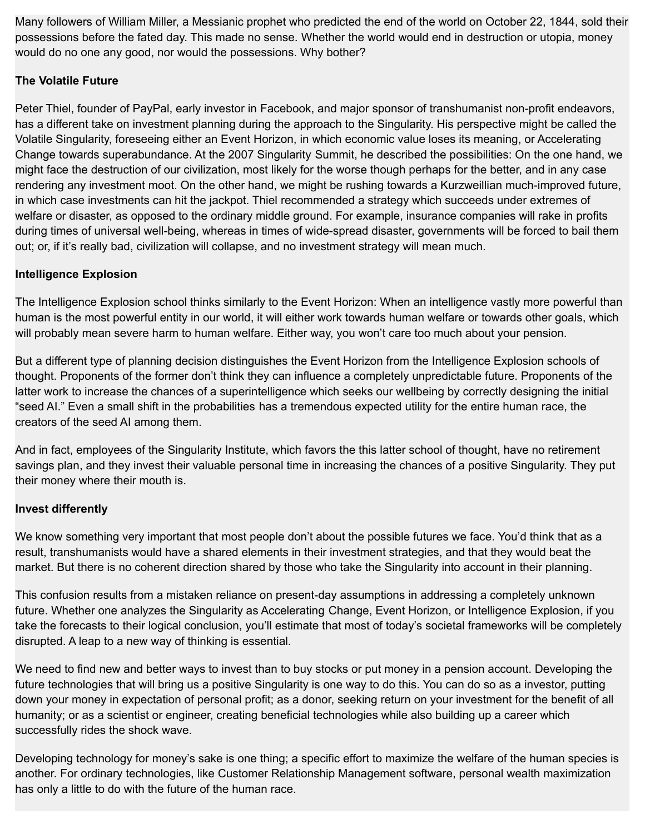Many followers of William Miller, a Messianic prophet who predicted the end of the world on October 22, 1844, sold their possessions before the fated day. This made no sense. Whether the world would end in destruction or utopia, money would do no one any good, nor would the possessions. Why bother?

# **The Volatile Future**

Peter Thiel, founder of PayPal, early investor in Facebook, and major sponsor of transhumanist non-profit endeavors, has a different take on investment planning during the approach to the Singularity. His perspective might be called the Volatile Singularity, foreseeing either an Event Horizon, in which economic value loses its meaning, or Accelerating Change towards superabundance. At the 2007 Singularity Summit, he described the possibilities: On the one hand, we might face the destruction of our civilization, most likely for the worse though perhaps for the better, and in any case rendering any investment moot. On the other hand, we might be rushing towards a Kurzweillian much-improved future, in which case investments can hit the jackpot. Thiel recommended a strategy which succeeds under extremes of welfare or disaster, as opposed to the ordinary middle ground. For example, insurance companies will rake in profits during times of universal well-being, whereas in times of wide-spread disaster, governments will be forced to bail them out; or, if it's really bad, civilization will collapse, and no investment strategy will mean much.

# **Intelligence Explosion**

The Intelligence Explosion school thinks similarly to the Event Horizon: When an intelligence vastly more powerful than human is the most powerful entity in our world, it will either work towards human welfare or towards other goals, which will probably mean severe harm to human welfare. Either way, you won't care too much about your pension.

But a different type of planning decision distinguishes the Event Horizon from the Intelligence Explosion schools of thought. Proponents of the former don't think they can influence a completely unpredictable future. Proponents of the latter work to increase the chances of a superintelligence which seeks our wellbeing by correctly designing the initial "seed AI." Even a small shift in the probabilities has a tremendous expected utility for the entire human race, the creators of the seed AI among them.

And in fact, employees of the Singularity Institute, which favors the this latter school of thought, have no retirement savings plan, and they invest their valuable personal time in increasing the chances of a positive Singularity. They put their money where their mouth is.

## **Invest differently**

We know something very important that most people don't about the possible futures we face. You'd think that as a result, transhumanists would have a shared elements in their investment strategies, and that they would beat the market. But there is no coherent direction shared by those who take the Singularity into account in their planning.

This confusion results from a mistaken reliance on present-day assumptions in addressing a completely unknown future. Whether one analyzes the Singularity as Accelerating Change, Event Horizon, or Intelligence Explosion, if you take the forecasts to their logical conclusion, you'll estimate that most of today's societal frameworks will be completely disrupted. A leap to a new way of thinking is essential.

We need to find new and better ways to invest than to buy stocks or put money in a pension account. Developing the future technologies that will bring us a positive Singularity is one way to do this. You can do so as a investor, putting down your money in expectation of personal profit; as a donor, seeking return on your investment for the benefit of all humanity; or as a scientist or engineer, creating beneficial technologies while also building up a career which successfully rides the shock wave.

Developing technology for money's sake is one thing; a specific effort to maximize the welfare of the human species is another. For ordinary technologies, like Customer Relationship Management software, personal wealth maximization has only a little to do with the future of the human race.